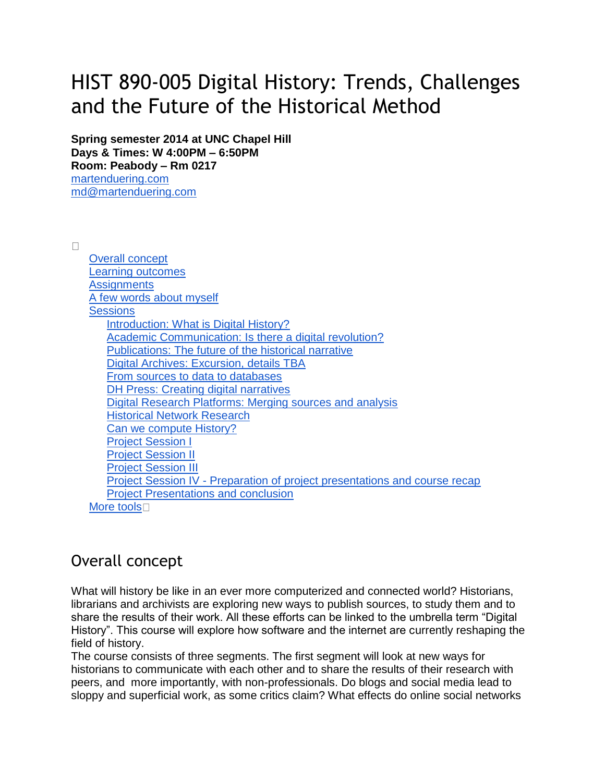# HIST 890-005 Digital History: Trends, Challenges and the Future of the Historical Method

**Spring semester 2014 at UNC Chapel Hill Days & Times: W 4:00PM – 6:50PM Room: Peabody – Rm 0217**

[martenduering.com](http://martenduering.com/) [md@martenduering.com](mailto:md@martenduering.com)

 $\Box$ 

| <b>Overall concept</b>                                                     |
|----------------------------------------------------------------------------|
| <b>Learning outcomes</b>                                                   |
| <b>Assignments</b>                                                         |
| A few words about myself                                                   |
| <b>Sessions</b>                                                            |
| Introduction: What is Digital History?                                     |
| Academic Communication: Is there a digital revolution?                     |
| Publications: The future of the historical narrative                       |
| Digital Archives: Excursion, details TBA                                   |
| From sources to data to databases                                          |
| DH Press: Creating digital narratives                                      |
| Digital Research Platforms: Merging sources and analysis                   |
| <b>Historical Network Research</b>                                         |
| Can we compute History?                                                    |
| <b>Project Session I</b>                                                   |
| <b>Project Session II</b>                                                  |
| <b>Project Session III</b>                                                 |
| Project Session IV - Preparation of project presentations and course recap |
| <b>Project Presentations and conclusion</b>                                |
| More tools $\square$                                                       |
|                                                                            |

# Overall concept

What will history be like in an ever more computerized and connected world? Historians, librarians and archivists are exploring new ways to publish sources, to study them and to share the results of their work. All these efforts can be linked to the umbrella term "Digital History". This course will explore how software and the internet are currently reshaping the field of history.

The course consists of three segments. The first segment will look at new ways for historians to communicate with each other and to share the results of their research with peers, and more importantly, with non-professionals. Do blogs and social media lead to sloppy and superficial work, as some critics claim? What effects do online social networks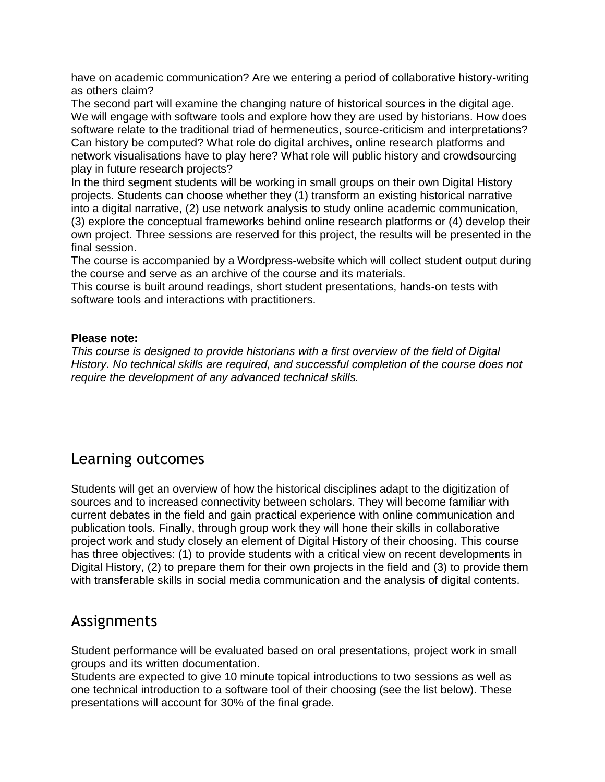have on academic communication? Are we entering a period of collaborative history-writing as others claim?

The second part will examine the changing nature of historical sources in the digital age. We will engage with software tools and explore how they are used by historians. How does software relate to the traditional triad of hermeneutics, source-criticism and interpretations? Can history be computed? What role do digital archives, online research platforms and network visualisations have to play here? What role will public history and crowdsourcing play in future research projects?

In the third segment students will be working in small groups on their own Digital History projects. Students can choose whether they (1) transform an existing historical narrative into a digital narrative, (2) use network analysis to study online academic communication, (3) explore the conceptual frameworks behind online research platforms or (4) develop their own project. Three sessions are reserved for this project, the results will be presented in the final session.

The course is accompanied by a Wordpress-website which will collect student output during the course and serve as an archive of the course and its materials.

This course is built around readings, short student presentations, hands-on tests with software tools and interactions with practitioners.

#### **Please note:**

*This course is designed to provide historians with a first overview of the field of Digital History. No technical skills are required, and successful completion of the course does not require the development of any advanced technical skills.*

# Learning outcomes

Students will get an overview of how the historical disciplines adapt to the digitization of sources and to increased connectivity between scholars. They will become familiar with current debates in the field and gain practical experience with online communication and publication tools. Finally, through group work they will hone their skills in collaborative project work and study closely an element of Digital History of their choosing. This course has three objectives: (1) to provide students with a critical view on recent developments in Digital History, (2) to prepare them for their own projects in the field and (3) to provide them with transferable skills in social media communication and the analysis of digital contents.

### Assignments

Student performance will be evaluated based on oral presentations, project work in small groups and its written documentation.

Students are expected to give 10 minute topical introductions to two sessions as well as one technical introduction to a software tool of their choosing (see the list below). These presentations will account for 30% of the final grade.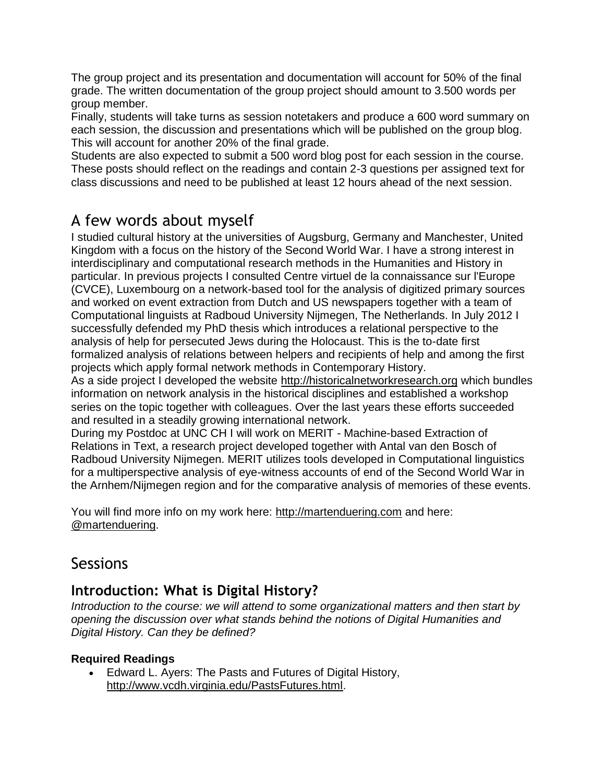The group project and its presentation and documentation will account for 50% of the final grade. The written documentation of the group project should amount to 3.500 words per group member.

Finally, students will take turns as session notetakers and produce a 600 word summary on each session, the discussion and presentations which will be published on the group blog. This will account for another 20% of the final grade.

Students are also expected to submit a 500 word blog post for each session in the course. These posts should reflect on the readings and contain 2-3 questions per assigned text for class discussions and need to be published at least 12 hours ahead of the next session.

# A few words about myself

I studied cultural history at the universities of Augsburg, Germany and Manchester, United Kingdom with a focus on the history of the Second World War. I have a strong interest in interdisciplinary and computational research methods in the Humanities and History in particular. In previous projects I consulted Centre virtuel de la connaissance sur l'Europe (CVCE), Luxembourg on a network-based tool for the analysis of digitized primary sources and worked on event extraction from Dutch and US newspapers together with a team of Computational linguists at Radboud University Nijmegen, The Netherlands. In July 2012 I successfully defended my PhD thesis which introduces a relational perspective to the analysis of help for persecuted Jews during the Holocaust. This is the to-date first formalized analysis of relations between helpers and recipients of help and among the first projects which apply formal network methods in Contemporary History.

As a side project I developed the website [http://historicalnetworkresearch.org](http://historicalnetworkresearch.org/) which bundles information on network analysis in the historical disciplines and established a workshop series on the topic together with colleagues. Over the last years these efforts succeeded and resulted in a steadily growing international network.

During my Postdoc at UNC CH I will work on MERIT - Machine-based Extraction of Relations in Text, a research project developed together with Antal van den Bosch of Radboud University Nijmegen. MERIT utilizes tools developed in Computational linguistics for a multiperspective analysis of eye-witness accounts of end of the Second World War in the Arnhem/Nijmegen region and for the comparative analysis of memories of these events.

You will find more info on my work here: [http://martenduering.com](http://martenduering.com/) and here: [@martenduering.](https://twitter.com/martenduering)

# **Sessions**

# **Introduction: What is Digital History?**

*Introduction to the course: we will attend to some organizational matters and then start by opening the discussion over what stands behind the notions of Digital Humanities and Digital History. Can they be defined?* 

#### **Required Readings**

 Edward L. Ayers: The Pasts and Futures of Digital History, [http://www.vcdh.virginia.edu/PastsFutures.html.](http://www.vcdh.virginia.edu/PastsFutures.html)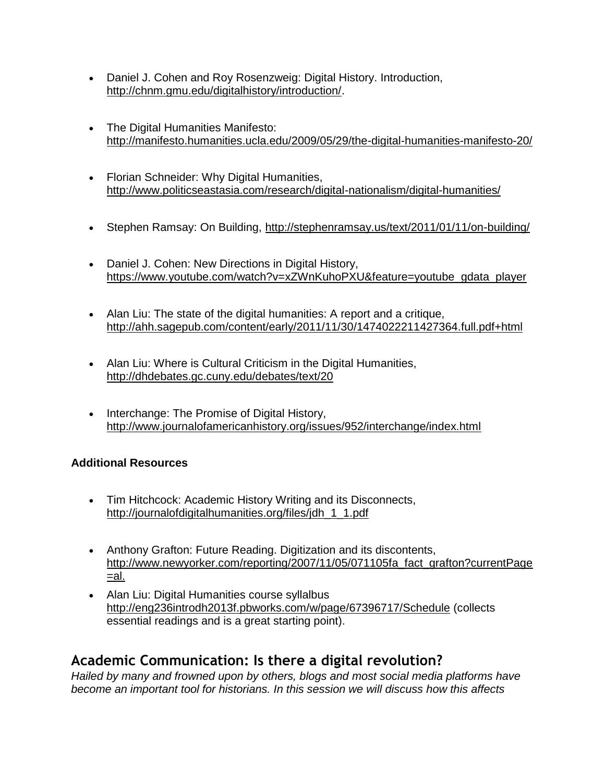- Daniel J. Cohen and Roy Rosenzweig: Digital History. Introduction, [http://chnm.gmu.edu/digitalhistory/introduction/.](http://chnm.gmu.edu/digitalhistory/introduction/)
- The Digital Humanities Manifesto: <http://manifesto.humanities.ucla.edu/2009/05/29/the-digital-humanities-manifesto-20/>
- Florian Schneider: Why Digital Humanities, <http://www.politicseastasia.com/research/digital-nationalism/digital-humanities/>
- Stephen Ramsay: On Building,<http://stephenramsay.us/text/2011/01/11/on-building/>
- Daniel J. Cohen: New Directions in Digital History, [https://www.youtube.com/watch?v=xZWnKuhoPXU&feature=youtube\\_gdata\\_player](https://www.youtube.com/watch?v=xZWnKuhoPXU&feature=youtube_gdata_player)
- Alan Liu: The state of the digital humanities: A report and a critique, <http://ahh.sagepub.com/content/early/2011/11/30/1474022211427364.full.pdf+html>
- Alan Liu: Where is Cultural Criticism in the Digital Humanities, <http://dhdebates.gc.cuny.edu/debates/text/20>
- Interchange: The Promise of Digital History, <http://www.journalofamericanhistory.org/issues/952/interchange/index.html>

#### **Additional Resources**

- Tim Hitchcock: Academic History Writing and its Disconnects, [http://journalofdigitalhumanities.org/files/jdh\\_1\\_1.pdf](http://journalofdigitalhumanities.org/files/jdh_1_1.pdf)
- Anthony Grafton: Future Reading. Digitization and its discontents, [http://www.newyorker.com/reporting/2007/11/05/071105fa\\_fact\\_grafton?currentPage](http://www.newyorker.com/reporting/2007/11/05/071105fa_fact_grafton?currentPage=al) [=al.](http://www.newyorker.com/reporting/2007/11/05/071105fa_fact_grafton?currentPage=al)
- Alan Liu: Digital Humanities course syllalbus <http://eng236introdh2013f.pbworks.com/w/page/67396717/Schedule> (collects essential readings and is a great starting point).

# **Academic Communication: Is there a digital revolution?**

*Hailed by many and frowned upon by others, blogs and most social media platforms have become an important tool for historians. In this session we will discuss how this affects*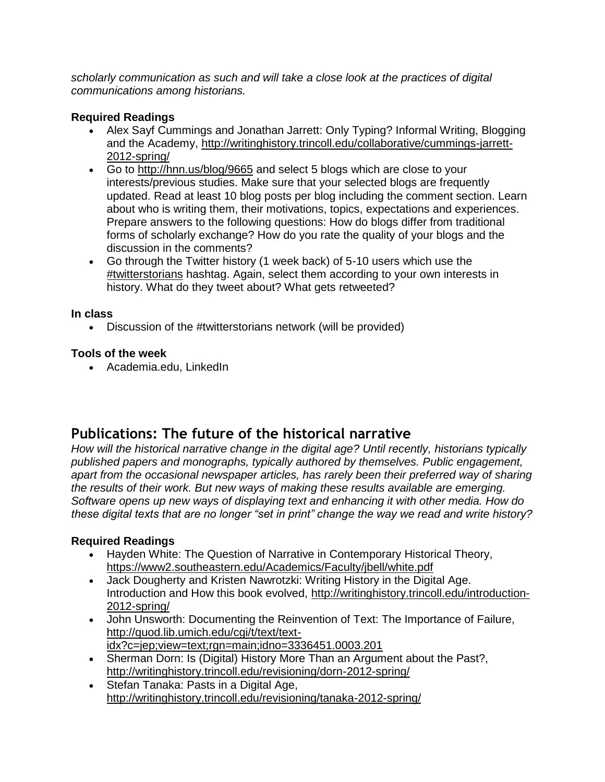*scholarly communication as such and will take a close look at the practices of digital communications among historians.*

#### **Required Readings**

- Alex Sayf Cummings and Jonathan Jarrett: Only Typing? Informal Writing, Blogging and the Academy, [http://writinghistory.trincoll.edu/collaborative/cummings-jarrett-](http://writinghistory.trincoll.edu/collaborative/cummings-jarrett-2012-spring/)[2012-spring/](http://writinghistory.trincoll.edu/collaborative/cummings-jarrett-2012-spring/)
- Go to<http://hnn.us/blog/9665> and select 5 blogs which are close to your interests/previous studies. Make sure that your selected blogs are frequently updated. Read at least 10 blog posts per blog including the comment section. Learn about who is writing them, their motivations, topics, expectations and experiences. Prepare answers to the following questions: How do blogs differ from traditional forms of scholarly exchange? How do you rate the quality of your blogs and the discussion in the comments?
- Go through the Twitter history (1 week back) of 5-10 users which use the [#twitterstorians](https://twitter.com/search?q=%23twitterstorians&src=typd) hashtag. Again, select them according to your own interests in history. What do they tweet about? What gets retweeted?

#### **In class**

Discussion of the #twitterstorians network (will be provided)

#### **Tools of the week**

Academia.edu, LinkedIn

# **Publications: The future of the historical narrative**

*How will the historical narrative change in the digital age? Until recently, historians typically published papers and monographs, typically authored by themselves. Public engagement,*  apart from the occasional newspaper articles, has rarely been their preferred way of sharing *the results of their work. But new ways of making these results available are emerging. Software opens up new ways of displaying text and enhancing it with other media. How do these digital texts that are no longer "set in print" change the way we read and write history?* 

#### **Required Readings**

- Hayden White: The Question of Narrative in Contemporary Historical Theory, <https://www2.southeastern.edu/Academics/Faculty/jbell/white.pdf>
- Jack Dougherty and Kristen Nawrotzki: Writing History in the Digital Age. Introduction and How this book evolved, [http://writinghistory.trincoll.edu/introduction-](http://writinghistory.trincoll.edu/introduction-2012-spring/)[2012-spring/](http://writinghistory.trincoll.edu/introduction-2012-spring/)
- John Unsworth: Documenting the Reinvention of Text: The Importance of Failure, [http://quod.lib.umich.edu/cgi/t/text/text](http://quod.lib.umich.edu/cgi/t/text/text-idx?c=jep;view=text;rgn=main;idno=3336451.0003.201)[idx?c=jep;view=text;rgn=main;idno=3336451.0003.201](http://quod.lib.umich.edu/cgi/t/text/text-idx?c=jep;view=text;rgn=main;idno=3336451.0003.201)
- Sherman Dorn: Is (Digital) History More Than an Argument about the Past?, <http://writinghistory.trincoll.edu/revisioning/dorn-2012-spring/>
- Stefan Tanaka: Pasts in a Digital Age, <http://writinghistory.trincoll.edu/revisioning/tanaka-2012-spring/>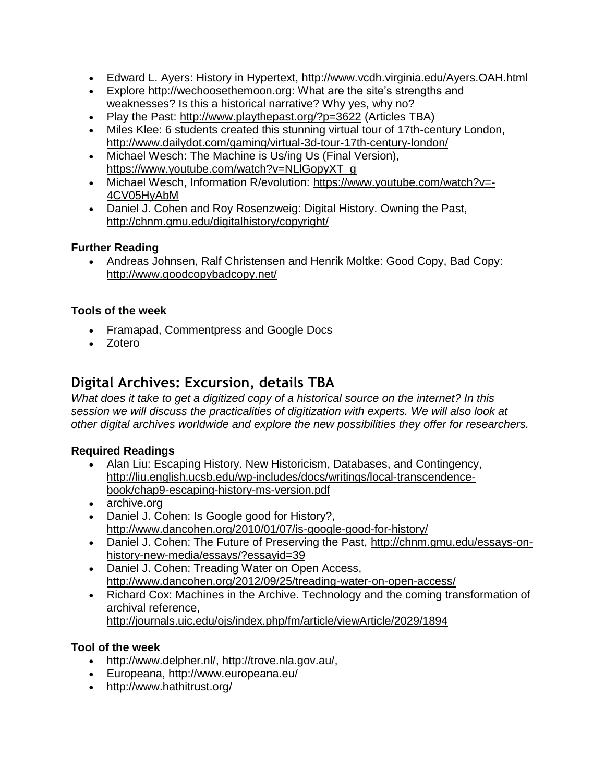- Edward L. Ayers: History in Hypertext,<http://www.vcdh.virginia.edu/Ayers.OAH.html>
- Explore [http://wechoosethemoon.org:](http://wechoosethemoon.org/) What are the site's strengths and weaknesses? Is this a historical narrative? Why yes, why no?
- Play the Past:<http://www.playthepast.org/?p=3622> (Articles TBA)
- Miles Klee: 6 students created this stunning virtual tour of 17th-century London, <http://www.dailydot.com/gaming/virtual-3d-tour-17th-century-london/>
- Michael Wesch: The Machine is Us/ing Us (Final Version), [https://www.youtube.com/watch?v=NLlGopyXT\\_g](https://www.youtube.com/watch?v=NLlGopyXT_g)
- Michael Wesch, Information R/evolution: [https://www.youtube.com/watch?v=-](https://www.youtube.com/watch?v=-4CV05HyAbM) [4CV05HyAbM](https://www.youtube.com/watch?v=-4CV05HyAbM)
- Daniel J. Cohen and Roy Rosenzweig: Digital History. Owning the Past, <http://chnm.gmu.edu/digitalhistory/copyright/>

#### **Further Reading**

 Andreas Johnsen, Ralf Christensen and Henrik Moltke: Good Copy, Bad Copy: <http://www.goodcopybadcopy.net/>

#### **Tools of the week**

- Framapad, Commentpress and Google Docs
- Zotero

### **Digital Archives: Excursion, details TBA**

*What does it take to get a digitized copy of a historical source on the internet? In this session we will discuss the practicalities of digitization with experts. We will also look at other digital archives worldwide and explore the new possibilities they offer for researchers.*

#### **Required Readings**

- Alan Liu: Escaping History. New Historicism, Databases, and Contingency, [http://liu.english.ucsb.edu/wp-includes/docs/writings/local-transcendence](http://liu.english.ucsb.edu/wp-includes/docs/writings/local-transcendence-book/chap9-escaping-history-ms-version.pdf)[book/chap9-escaping-history-ms-version.pdf](http://liu.english.ucsb.edu/wp-includes/docs/writings/local-transcendence-book/chap9-escaping-history-ms-version.pdf)
- archive.org
- Daniel J. Cohen: Is Google good for History?, <http://www.dancohen.org/2010/01/07/is-google-good-for-history/>
- Daniel J. Cohen: The Future of Preserving the Past, [http://chnm.gmu.edu/essays-on](http://chnm.gmu.edu/essays-on-history-new-media/essays/?essayid=39)[history-new-media/essays/?essayid=39](http://chnm.gmu.edu/essays-on-history-new-media/essays/?essayid=39)
- Daniel J. Cohen: Treading Water on Open Access, <http://www.dancohen.org/2012/09/25/treading-water-on-open-access/>
- Richard Cox: Machines in the Archive. Technology and the coming transformation of archival reference, <http://journals.uic.edu/ojs/index.php/fm/article/viewArticle/2029/1894>

#### **Tool of the week**

- [http://www.delpher.nl/,](http://www.delpher.nl/) [http://trove.nla.gov.au/,](http://trove.nla.gov.au/)
- Europeana,<http://www.europeana.eu/>
- <http://www.hathitrust.org/>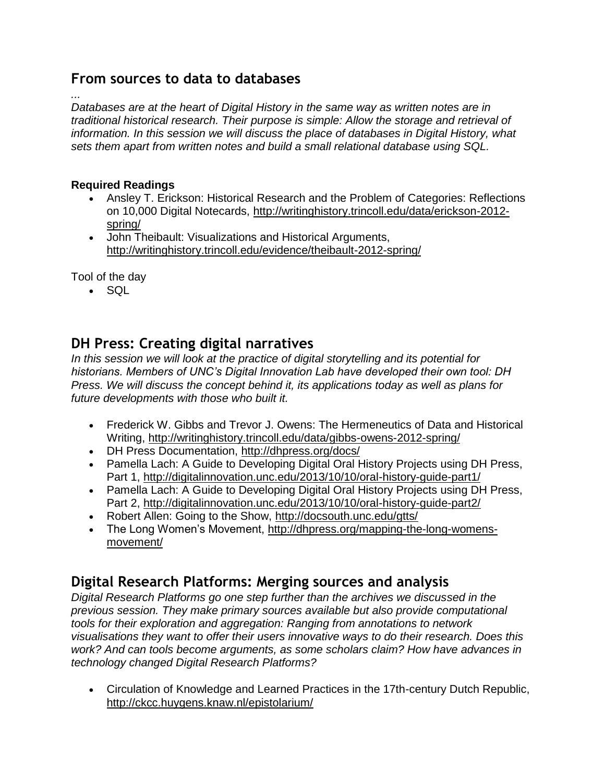### **From sources to data to databases**

*... Databases are at the heart of Digital History in the same way as written notes are in traditional historical research. Their purpose is simple: Allow the storage and retrieval of information. In this session we will discuss the place of databases in Digital History, what sets them apart from written notes and build a small relational database using SQL.* 

#### **Required Readings**

- Ansley T. Erickson: Historical Research and the Problem of Categories: Reflections on 10,000 Digital Notecards, [http://writinghistory.trincoll.edu/data/erickson-2012](http://writinghistory.trincoll.edu/data/erickson-2012-spring/) [spring/](http://writinghistory.trincoll.edu/data/erickson-2012-spring/)
- John Theibault: Visualizations and Historical Arguments, <http://writinghistory.trincoll.edu/evidence/theibault-2012-spring/>

Tool of the day

 $\cdot$  SQL

# **DH Press: Creating digital narratives**

*In this session we will look at the practice of digital storytelling and its potential for historians. Members of UNC's Digital Innovation Lab have developed their own tool: DH Press. We will discuss the concept behind it, its applications today as well as plans for future developments with those who built it.* 

- Frederick W. Gibbs and Trevor J. Owens: The Hermeneutics of Data and Historical Writing,<http://writinghistory.trincoll.edu/data/gibbs-owens-2012-spring/>
- DH Press Documentation,<http://dhpress.org/docs/>
- Pamella Lach: A Guide to Developing Digital Oral History Projects using DH Press, Part 1,<http://digitalinnovation.unc.edu/2013/10/10/oral-history-guide-part1/>
- Pamella Lach: A Guide to Developing Digital Oral History Projects using DH Press, Part 2,<http://digitalinnovation.unc.edu/2013/10/10/oral-history-guide-part2/>
- Robert Allen: Going to the Show,<http://docsouth.unc.edu/gtts/>
- The Long Women's Movement, [http://dhpress.org/mapping-the-long-womens](http://dhpress.org/mapping-the-long-womens-movement/)[movement/](http://dhpress.org/mapping-the-long-womens-movement/)

# **Digital Research Platforms: Merging sources and analysis**

*Digital Research Platforms go one step further than the archives we discussed in the previous session. They make primary sources available but also provide computational tools for their exploration and aggregation: Ranging from annotations to network visualisations they want to offer their users innovative ways to do their research. Does this work? And can tools become arguments, as some scholars claim? How have advances in technology changed Digital Research Platforms?*

 Circulation of Knowledge and Learned Practices in the 17th-century Dutch Republic, <http://ckcc.huygens.knaw.nl/epistolarium/>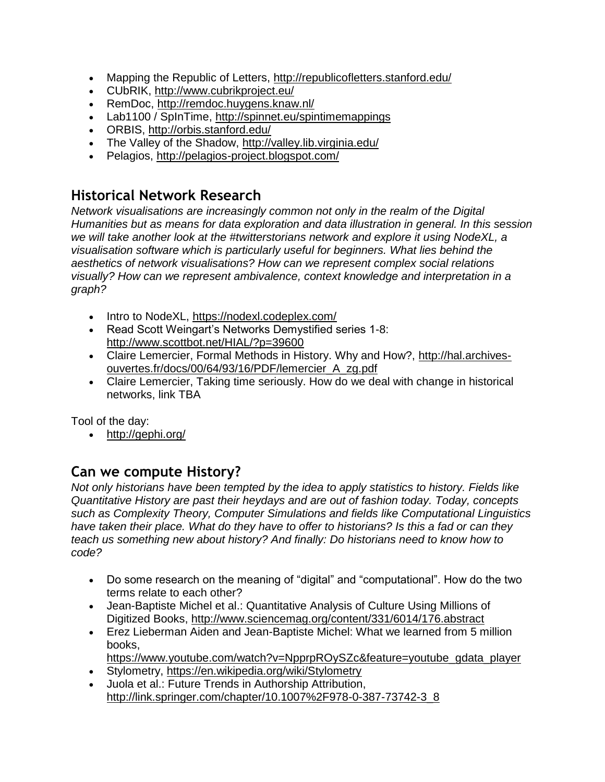- Mapping the Republic of Letters,<http://republicofletters.stanford.edu/>
- CUbRIK,<http://www.cubrikproject.eu/>
- RemDoc,<http://remdoc.huygens.knaw.nl/>
- Lab1100 / SpInTime,<http://spinnet.eu/spintimemappings>
- ORBIS,<http://orbis.stanford.edu/>
- The Valley of the Shadow,<http://valley.lib.virginia.edu/>
- Pelagios,<http://pelagios-project.blogspot.com/>

### **Historical Network Research**

*Network visualisations are increasingly common not only in the realm of the Digital Humanities but as means for data exploration and data illustration in general. In this session we will take another look at the #twitterstorians network and explore it using NodeXL, a visualisation software which is particularly useful for beginners. What lies behind the aesthetics of network visualisations? How can we represent complex social relations visually? How can we represent ambivalence, context knowledge and interpretation in a graph?*

- Intro to NodeXL,<https://nodexl.codeplex.com/>
- Read Scott Weingart's Networks Demystified series 1-8: <http://www.scottbot.net/HIAL/?p=39600>
- Claire Lemercier, Formal Methods in History. Why and How?, [http://hal.archives](http://hal.archives-ouvertes.fr/docs/00/64/93/16/PDF/lemercier_A_zg.pdf)[ouvertes.fr/docs/00/64/93/16/PDF/lemercier\\_A\\_zg.pdf](http://hal.archives-ouvertes.fr/docs/00/64/93/16/PDF/lemercier_A_zg.pdf)
- Claire Lemercier, Taking time seriously. How do we deal with change in historical networks, link TBA

Tool of the day:

• <http://gephi.org/>

# **Can we compute History?**

*Not only historians have been tempted by the idea to apply statistics to history. Fields like Quantitative History are past their heydays and are out of fashion today. Today, concepts such as Complexity Theory, Computer Simulations and fields like Computational Linguistics have taken their place. What do they have to offer to historians? Is this a fad or can they teach us something new about history? And finally: Do historians need to know how to code?*

- Do some research on the meaning of "digital" and "computational". How do the two terms relate to each other?
- Jean-Baptiste Michel et al.: Quantitative Analysis of Culture Using Millions of Digitized Books,<http://www.sciencemag.org/content/331/6014/176.abstract>
- Erez Lieberman Aiden and Jean-Baptiste Michel: What we learned from 5 million books,

[https://www.youtube.com/watch?v=NpprpROySZc&feature=youtube\\_gdata\\_player](https://www.youtube.com/watch?v=NpprpROySZc&feature=youtube_gdata_player)

- Stylometry,<https://en.wikipedia.org/wiki/Stylometry>
- Juola et al.: Future Trends in Authorship Attribution, [http://link.springer.com/chapter/10.1007%2F978-0-387-73742-3\\_8](http://link.springer.com/chapter/10.1007%2F978-0-387-73742-3_8)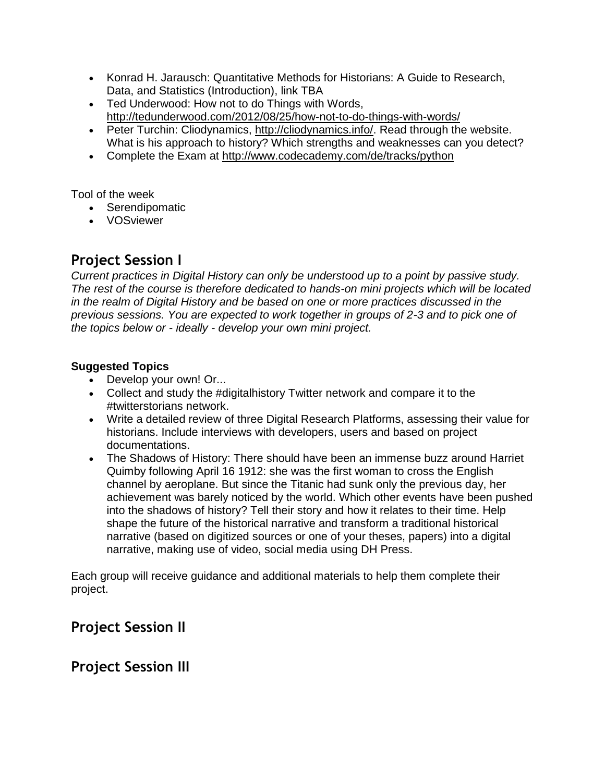- Konrad H. Jarausch: Quantitative Methods for Historians: A Guide to Research, Data, and Statistics (Introduction), link TBA
- Ted Underwood: How not to do Things with Words, <http://tedunderwood.com/2012/08/25/how-not-to-do-things-with-words/>
- Peter Turchin: Cliodynamics, [http://cliodynamics.info/.](http://cliodynamics.info/) Read through the website. What is his approach to history? Which strengths and weaknesses can you detect?
- Complete the Exam at<http://www.codecademy.com/de/tracks/python>

Tool of the week

- Serendipomatic
- VOSviewer

# **Project Session I**

*Current practices in Digital History can only be understood up to a point by passive study. The rest of the course is therefore dedicated to hands-on mini projects which will be located in the realm of Digital History and be based on one or more practices discussed in the previous sessions. You are expected to work together in groups of 2-3 and to pick one of the topics below or - ideally - develop your own mini project.*

#### **Suggested Topics**

- Develop your own! Or...
- Collect and study the #digitalhistory Twitter network and compare it to the #twitterstorians network.
- Write a detailed review of three Digital Research Platforms, assessing their value for historians. Include interviews with developers, users and based on project documentations.
- The Shadows of History: There should have been an immense buzz around Harriet Quimby following April 16 1912: she was the first woman to cross the English channel by aeroplane. But since the Titanic had sunk only the previous day, her achievement was barely noticed by the world. Which other events have been pushed into the shadows of history? Tell their story and how it relates to their time. Help shape the future of the historical narrative and transform a traditional historical narrative (based on digitized sources or one of your theses, papers) into a digital narrative, making use of video, social media using DH Press.

Each group will receive guidance and additional materials to help them complete their project.

# **Project Session II**

# **Project Session III**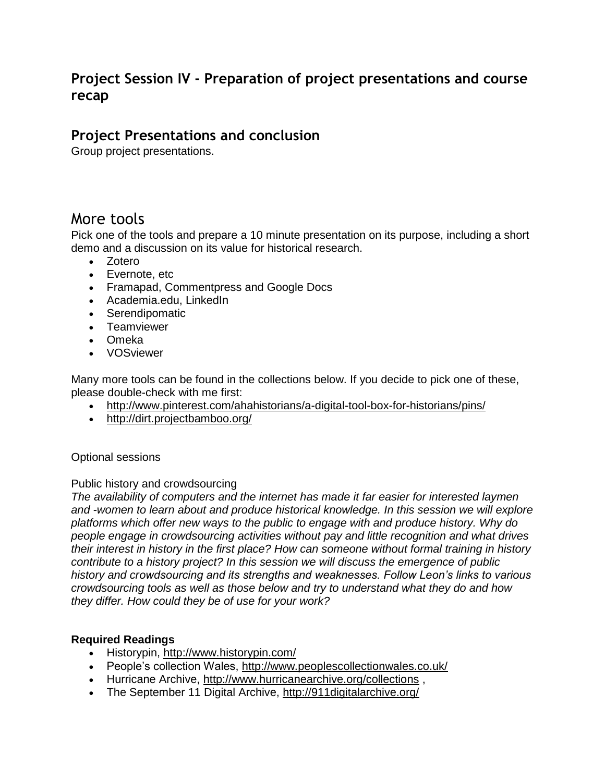# **Project Session IV - Preparation of project presentations and course recap**

### **Project Presentations and conclusion**

Group project presentations.

# More tools

Pick one of the tools and prepare a 10 minute presentation on its purpose, including a short demo and a discussion on its value for historical research.

- Zotero
- Evernote, etc
- Framapad, Commentpress and Google Docs
- Academia.edu, LinkedIn
- Serendipomatic
- Teamviewer
- Omeka
- VOSviewer

Many more tools can be found in the collections below. If you decide to pick one of these, please double-check with me first:

- <http://www.pinterest.com/ahahistorians/a-digital-tool-box-for-historians/pins/>
- <http://dirt.projectbamboo.org/>

#### Optional sessions

#### Public history and crowdsourcing

*The availability of computers and the internet has made it far easier for interested laymen and -women to learn about and produce historical knowledge. In this session we will explore platforms which offer new ways to the public to engage with and produce history. Why do people engage in crowdsourcing activities without pay and little recognition and what drives their interest in history in the first place? How can someone without formal training in history contribute to a history project? In this session we will discuss the emergence of public history and crowdsourcing and its strengths and weaknesses. Follow Leon's links to various crowdsourcing tools as well as those below and try to understand what they do and how they differ. How could they be of use for your work?*

#### **Required Readings**

- Historypin,<http://www.historypin.com/>
- People's collection Wales,<http://www.peoplescollectionwales.co.uk/>
- Hurricane Archive,<http://www.hurricanearchive.org/collections> ,
- The September 11 Digital Archive,<http://911digitalarchive.org/>